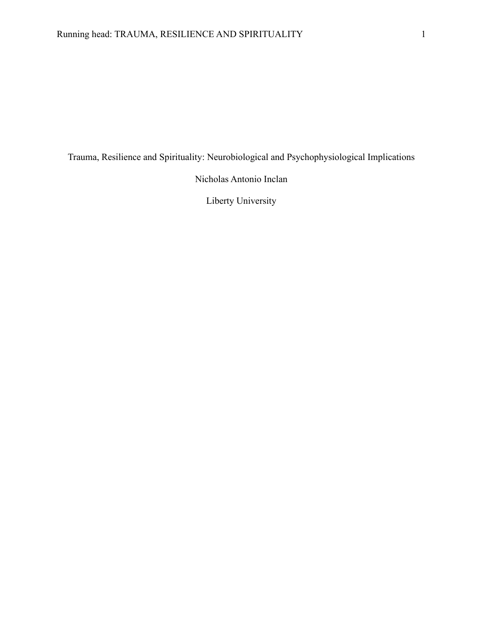Trauma, Resilience and Spirituality: Neurobiological and Psychophysiological Implications

Nicholas Antonio Inclan

Liberty University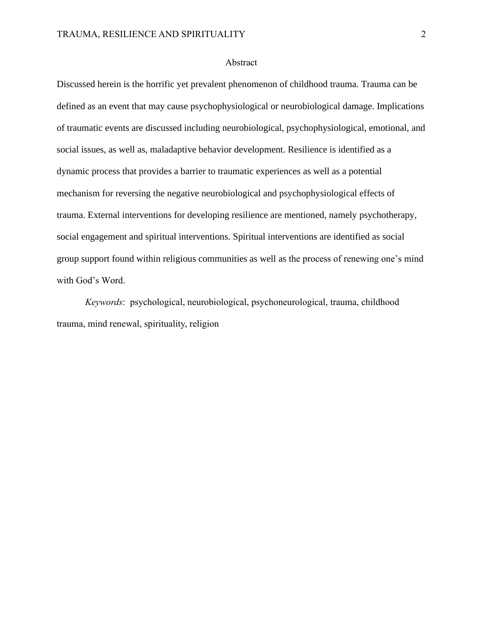### Abstract

Discussed herein is the horrific yet prevalent phenomenon of childhood trauma. Trauma can be defined as an event that may cause psychophysiological or neurobiological damage. Implications of traumatic events are discussed including neurobiological, psychophysiological, emotional, and social issues, as well as, maladaptive behavior development. Resilience is identified as a dynamic process that provides a barrier to traumatic experiences as well as a potential mechanism for reversing the negative neurobiological and psychophysiological effects of trauma. External interventions for developing resilience are mentioned, namely psychotherapy, social engagement and spiritual interventions. Spiritual interventions are identified as social group support found within religious communities as well as the process of renewing one's mind with God's Word.

*Keywords*: psychological, neurobiological, psychoneurological, trauma, childhood trauma, mind renewal, spirituality, religion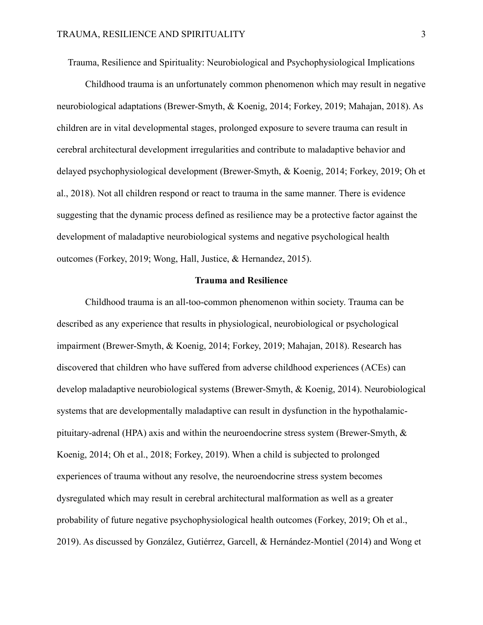Trauma, Resilience and Spirituality: Neurobiological and Psychophysiological Implications

Childhood trauma is an unfortunately common phenomenon which may result in negative neurobiological adaptations (Brewer-Smyth, & Koenig, 2014; Forkey, 2019; Mahajan, 2018). As children are in vital developmental stages, prolonged exposure to severe trauma can result in cerebral architectural development irregularities and contribute to maladaptive behavior and delayed psychophysiological development (Brewer-Smyth, & Koenig, 2014; Forkey, 2019; Oh et al., 2018). Not all children respond or react to trauma in the same manner. There is evidence suggesting that the dynamic process defined as resilience may be a protective factor against the development of maladaptive neurobiological systems and negative psychological health outcomes (Forkey, 2019; Wong, Hall, Justice, & Hernandez, 2015).

#### **Trauma and Resilience**

Childhood trauma is an all-too-common phenomenon within society. Trauma can be described as any experience that results in physiological, neurobiological or psychological impairment (Brewer-Smyth, & Koenig, 2014; Forkey, 2019; Mahajan, 2018). Research has discovered that children who have suffered from adverse childhood experiences (ACEs) can develop maladaptive neurobiological systems (Brewer-Smyth, & Koenig, 2014). Neurobiological systems that are developmentally maladaptive can result in dysfunction in the hypothalamicpituitary-adrenal (HPA) axis and within the neuroendocrine stress system (Brewer-Smyth, & Koenig, 2014; Oh et al., 2018; Forkey, 2019). When a child is subjected to prolonged experiences of trauma without any resolve, the neuroendocrine stress system becomes dysregulated which may result in cerebral architectural malformation as well as a greater probability of future negative psychophysiological health outcomes (Forkey, 2019; Oh et al., 2019). As discussed by González, Gutiérrez, Garcell, & Hernández-Montiel (2014) and Wong et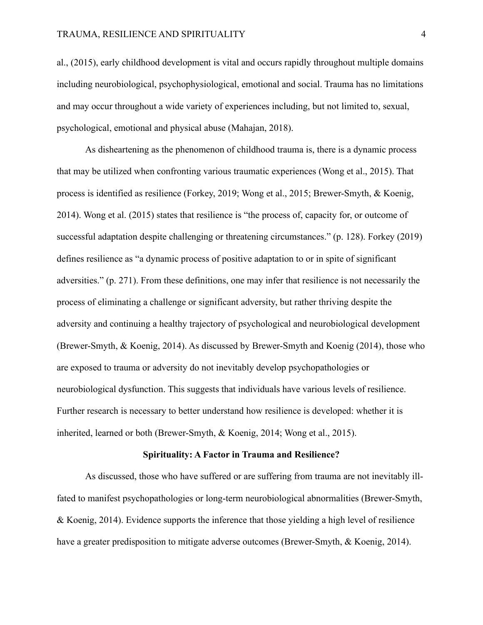al., (2015), early childhood development is vital and occurs rapidly throughout multiple domains including neurobiological, psychophysiological, emotional and social. Trauma has no limitations and may occur throughout a wide variety of experiences including, but not limited to, sexual, psychological, emotional and physical abuse (Mahajan, 2018).

As disheartening as the phenomenon of childhood trauma is, there is a dynamic process that may be utilized when confronting various traumatic experiences (Wong et al., 2015). That process is identified as resilience (Forkey, 2019; Wong et al., 2015; Brewer-Smyth, & Koenig, 2014). Wong et al. (2015) states that resilience is "the process of, capacity for, or outcome of successful adaptation despite challenging or threatening circumstances." (p. 128). Forkey (2019) defines resilience as "a dynamic process of positive adaptation to or in spite of significant adversities." (p. 271). From these definitions, one may infer that resilience is not necessarily the process of eliminating a challenge or significant adversity, but rather thriving despite the adversity and continuing a healthy trajectory of psychological and neurobiological development (Brewer-Smyth, & Koenig, 2014). As discussed by Brewer-Smyth and Koenig (2014), those who are exposed to trauma or adversity do not inevitably develop psychopathologies or neurobiological dysfunction. This suggests that individuals have various levels of resilience. Further research is necessary to better understand how resilience is developed: whether it is inherited, learned or both (Brewer-Smyth, & Koenig, 2014; Wong et al., 2015).

#### **Spirituality: A Factor in Trauma and Resilience?**

As discussed, those who have suffered or are suffering from trauma are not inevitably illfated to manifest psychopathologies or long-term neurobiological abnormalities (Brewer-Smyth, & Koenig, 2014). Evidence supports the inference that those yielding a high level of resilience have a greater predisposition to mitigate adverse outcomes (Brewer-Smyth, & Koenig, 2014).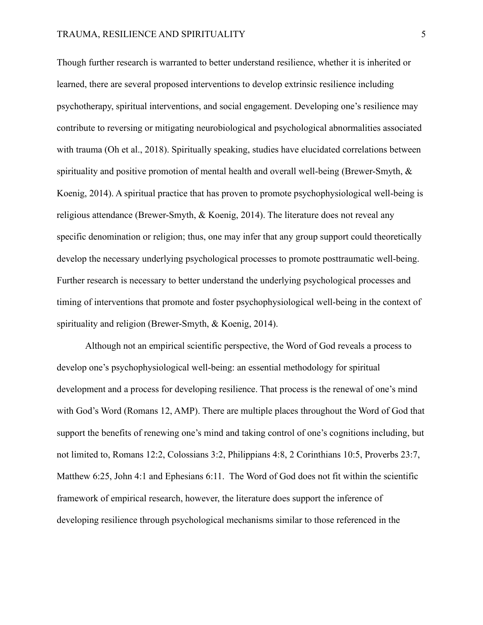## TRAUMA, RESILIENCE AND SPIRITUALITY 5

Though further research is warranted to better understand resilience, whether it is inherited or learned, there are several proposed interventions to develop extrinsic resilience including psychotherapy, spiritual interventions, and social engagement. Developing one's resilience may contribute to reversing or mitigating neurobiological and psychological abnormalities associated with trauma (Oh et al., 2018). Spiritually speaking, studies have elucidated correlations between spirituality and positive promotion of mental health and overall well-being (Brewer-Smyth, & Koenig, 2014). A spiritual practice that has proven to promote psychophysiological well-being is religious attendance (Brewer-Smyth, & Koenig, 2014). The literature does not reveal any specific denomination or religion; thus, one may infer that any group support could theoretically develop the necessary underlying psychological processes to promote posttraumatic well-being. Further research is necessary to better understand the underlying psychological processes and timing of interventions that promote and foster psychophysiological well-being in the context of spirituality and religion (Brewer-Smyth, & Koenig, 2014).

Although not an empirical scientific perspective, the Word of God reveals a process to develop one's psychophysiological well-being: an essential methodology for spiritual development and a process for developing resilience. That process is the renewal of one's mind with God's Word (Romans 12, AMP). There are multiple places throughout the Word of God that support the benefits of renewing one's mind and taking control of one's cognitions including, but not limited to, Romans 12:2, Colossians 3:2, Philippians 4:8, 2 Corinthians 10:5, Proverbs 23:7, Matthew 6:25, John 4:1 and Ephesians 6:11. The Word of God does not fit within the scientific framework of empirical research, however, the literature does support the inference of developing resilience through psychological mechanisms similar to those referenced in the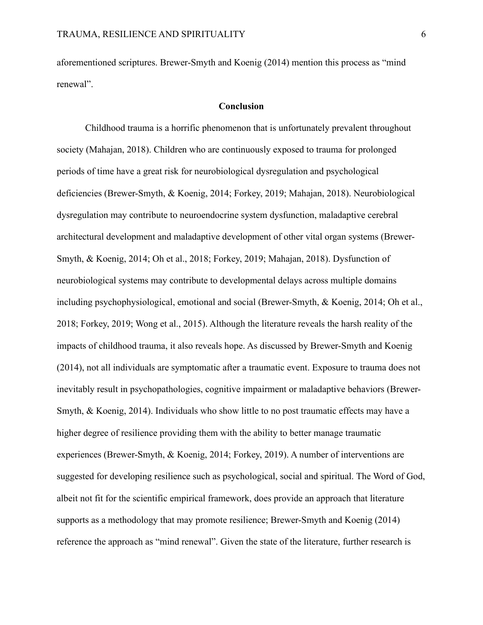aforementioned scriptures. Brewer-Smyth and Koenig (2014) mention this process as "mind renewal".

#### **Conclusion**

Childhood trauma is a horrific phenomenon that is unfortunately prevalent throughout society (Mahajan, 2018). Children who are continuously exposed to trauma for prolonged periods of time have a great risk for neurobiological dysregulation and psychological deficiencies (Brewer-Smyth, & Koenig, 2014; Forkey, 2019; Mahajan, 2018). Neurobiological dysregulation may contribute to neuroendocrine system dysfunction, maladaptive cerebral architectural development and maladaptive development of other vital organ systems (Brewer-Smyth, & Koenig, 2014; Oh et al., 2018; Forkey, 2019; Mahajan, 2018). Dysfunction of neurobiological systems may contribute to developmental delays across multiple domains including psychophysiological, emotional and social (Brewer-Smyth, & Koenig, 2014; Oh et al., 2018; Forkey, 2019; Wong et al., 2015). Although the literature reveals the harsh reality of the impacts of childhood trauma, it also reveals hope. As discussed by Brewer-Smyth and Koenig (2014), not all individuals are symptomatic after a traumatic event. Exposure to trauma does not inevitably result in psychopathologies, cognitive impairment or maladaptive behaviors (Brewer-Smyth, & Koenig, 2014). Individuals who show little to no post traumatic effects may have a higher degree of resilience providing them with the ability to better manage traumatic experiences (Brewer-Smyth, & Koenig, 2014; Forkey, 2019). A number of interventions are suggested for developing resilience such as psychological, social and spiritual. The Word of God, albeit not fit for the scientific empirical framework, does provide an approach that literature supports as a methodology that may promote resilience; Brewer-Smyth and Koenig (2014) reference the approach as "mind renewal". Given the state of the literature, further research is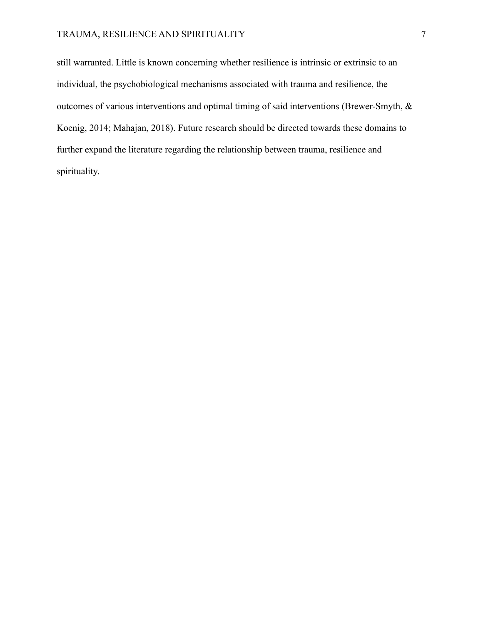# TRAUMA, RESILIENCE AND SPIRITUALITY 7

still warranted. Little is known concerning whether resilience is intrinsic or extrinsic to an individual, the psychobiological mechanisms associated with trauma and resilience, the outcomes of various interventions and optimal timing of said interventions (Brewer-Smyth, & Koenig, 2014; Mahajan, 2018). Future research should be directed towards these domains to further expand the literature regarding the relationship between trauma, resilience and spirituality.